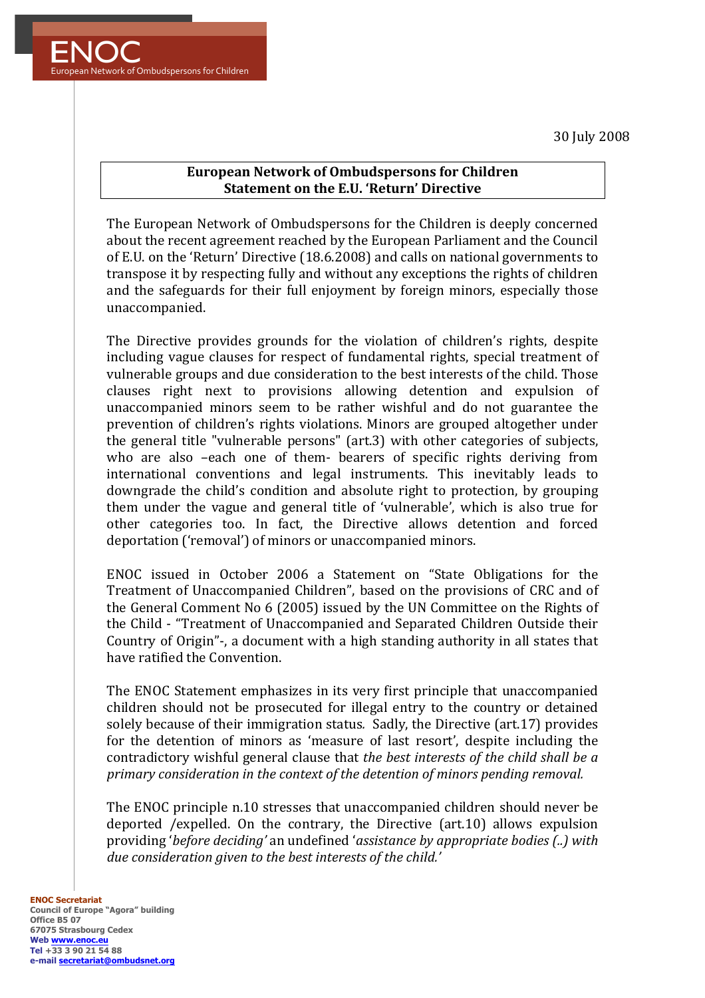30 July 2008



## **European Network of Ombudspersons for Children Statement on the E.U. 'Return' Directive**

The European Network of Ombudspersons for the Children is deeply concerned about the recent agreement reached by the European Parliament and the Council of E.U. on the 'Return' Directive (18.6.2008) and calls on national governments to transpose it by respecting fully and without any exceptions the rights of children and the safeguards for their full enjoyment by foreign minors, especially those unaccompanied.

The Directive provides grounds for the violation of children's rights, despite including vague clauses for respect of fundamental rights, special treatment of vulnerable groups and due consideration to the best interests of the child. Those clauses right next to provisions allowing detention and expulsion of unaccompanied minors seem to be rather wishful and do not guarantee the prevention of children's rights violations. Minors are grouped altogether under the general title "vulnerable persons" (art.3) with other categories of subjects, who are also -each one of them- bearers of specific rights deriving from international conventions and legal instruments. This inevitably leads to downgrade the child's condition and absolute right to protection, by grouping them under the vague and general title of 'vulnerable', which is also true for other categories too. In fact, the Directive allows detention and forced deportation ('removal') of minors or unaccompanied minors.

ENOC issued in October 2006 a Statement on "State Obligations for the Treatment of Unaccompanied Children", based on the provisions of CRC and of the General Comment No 6 (2005) issued by the UN Committee on the Rights of the Child - "Treatment of Unaccompanied and Separated Children Outside their Country of Origin"-, a document with a high standing authority in all states that have ratified the Convention.

The ENOC Statement emphasizes in its very first principle that unaccompanied children should not be prosecuted for illegal entry to the country or detained solely because of their immigration status. Sadly, the Directive (art.17) provides for the detention of minors as 'measure of last resort', despite including the contradictory wishful general clause that *the best interests of the child shall be a primary consideration in the context of the detention of minors pending removal.* 

The ENOC principle n.10 stresses that unaccompanied children should never be deported /expelled. On the contrary, the Directive (art.10) allows expulsion providing '*before deciding'* an undefined '*assistance by appropriate bodies* (..) with due consideration given to the best interests of the child.'